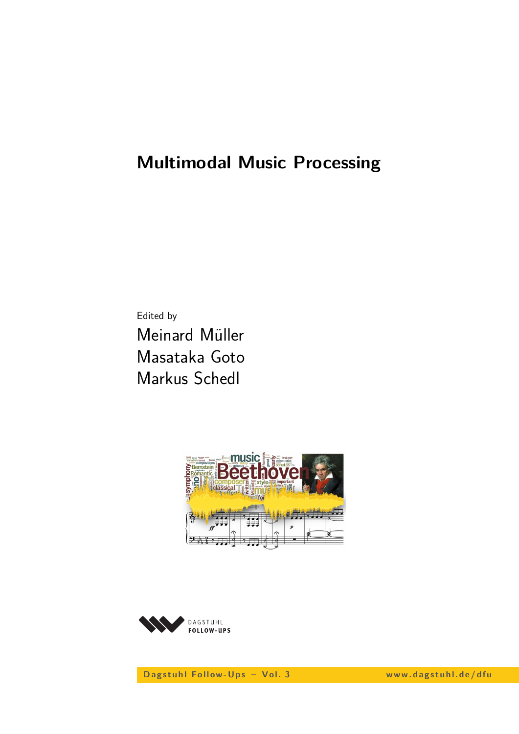# **Multimodal Music Processing**

Edited by Meinard Müller Masataka Goto Markus Schedl





D ag stuhl Follow-Ups - Vol. 3 www.dagstuhl.de/dfu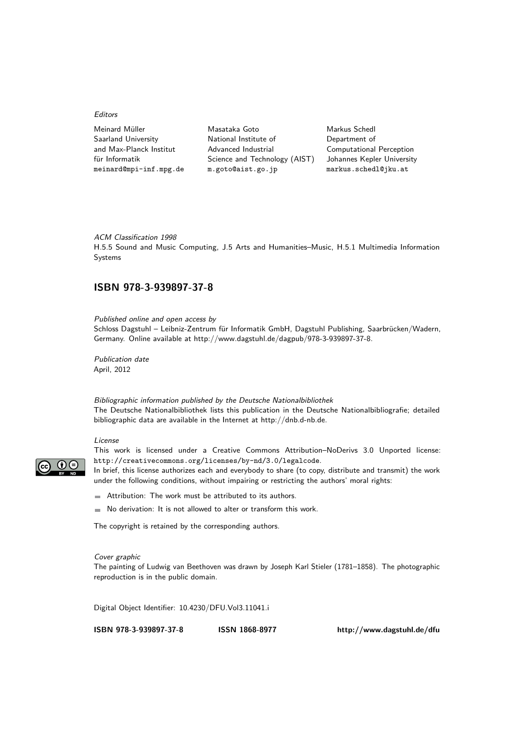#### Editors

| Meinard Müller          | Masataka Goto                 | Markus Schedl                   |
|-------------------------|-------------------------------|---------------------------------|
| Saarland University     | National Institute of         | Department of                   |
| and Max-Planck Institut | Advanced Industrial           | <b>Computational Perception</b> |
| für Informatik          | Science and Technology (AIST) | Johannes Kepler University      |
| meinard@mpi-inf.mpg.de  | m.goto@aist.go.jp             | markus.schedl@jku.at            |
|                         |                               |                                 |

ACM Classification 1998 H.5.5 Sound and Music Computing, J.5 Arts and Humanities–Music, H.5.1 Multimedia Information Systems

## **ISBN [978-3-939897-37-8](http://www.dagstuhl.de/dagpub/978-3-939897-37-8)**

Published online and open access by Schloss Dagstuhl – Leibniz-Zentrum für Informatik GmbH, Dagstuhl Publishing, Saarbrücken/Wadern, Germany. Online available at [http://www.dagstuhl.de/dagpub/978-3-939897-37-8.](http://www.dagstuhl.de/dagpub/978-3-939897-37-8)

Publication date April, 2012

Bibliographic information published by the Deutsche Nationalbibliothek The Deutsche Nationalbibliothek lists this publication in the Deutsche Nationalbibliografie; detailed bibliographic data are available in the Internet at [http://dnb.d-nb.de.](http://dnb.d-nb.de)

#### License



This work is licensed under a Creative Commons Attribution–NoDerivs 3.0 Unported license: http://creativecommons.org/licenses/by-nd/3.0/legalcode.

In brief, this license authorizes each and everybody to share (to copy, distribute and transmit) the work under the following conditions, without impairing or restricting the authors' moral rights:

- Attribution: The work must be attributed to its authors.
- $\blacksquare$  No derivation: It is not allowed to alter or transform this work.

The copyright is retained by the corresponding authors.

#### Cover graphic

The painting of Ludwig van Beethoven was drawn by Joseph Karl Stieler (1781–1858). The photographic reproduction is in the public domain.

Digital Object Identifier: [10.4230/DFU.Vol3.11041.i](http://dx.doi.org/10.4230/DFU.Vol3.11041.i)

**[ISBN 978-3-939897-37-8](http://www.dagstuhl.de/dagpub/978-3-939897-37-8) [ISSN 1868-8977](http://drops.dagstuhl.de/dfu)<http://www.dagstuhl.de/dfu>**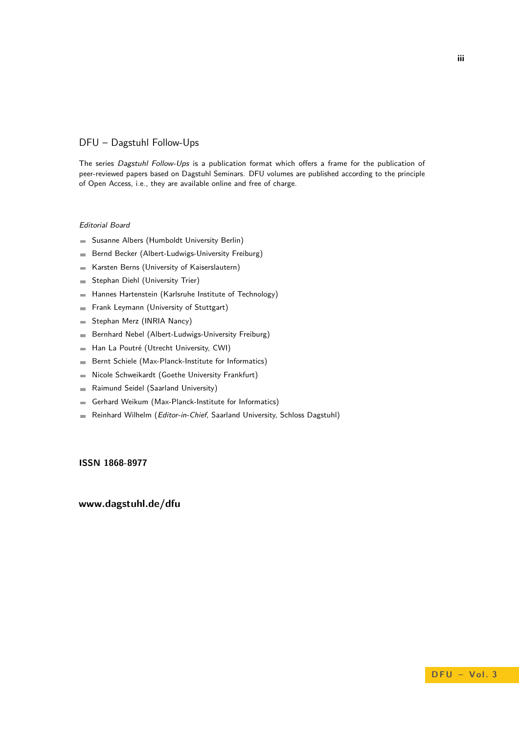## DFU – Dagstuhl Follow-Ups

The series Dagstuhl Follow-Ups is a publication format which offers a frame for the publication of peer-reviewed papers based on Dagstuhl Seminars. DFU volumes are published according to the principle of Open Access, i.e., they are available online and free of charge.

### Editorial Board

- Susanne Albers (Humboldt University Berlin)  $\equiv$
- Bernd Becker (Albert-Ludwigs-University Freiburg)  $\blacksquare$
- Karsten Berns (University of Kaiserslautern)  $\mathcal{L}$
- Stephan Diehl (University Trier)  $\blacksquare$
- Hannes Hartenstein (Karlsruhe Institute of Technology)  $\overline{a}$
- Frank Leymann (University of Stuttgart) ÷
- Stephan Merz (INRIA Nancy)  $\equiv$
- Bernhard Nebel (Albert-Ludwigs-University Freiburg)  $\equiv$
- Han La Poutré (Utrecht University, CWI)  $\mathcal{L}$
- Bernt Schiele (Max-Planck-Institute for Informatics) ÷
- Nicole Schweikardt (Goethe University Frankfurt)  $\overline{\phantom{a}}$
- Raimund Seidel (Saarland University)  $\overline{a}$
- Gerhard Weikum (Max-Planck-Institute for Informatics) ÷
- Reinhard Wilhelm (Editor-in-Chief, Saarland University, Schloss Dagstuhl)  $\blacksquare$

**ISSN 1868-8977**

## **[www.dagstuhl.de/dfu](http://www.dagstuhl.de/dfu)**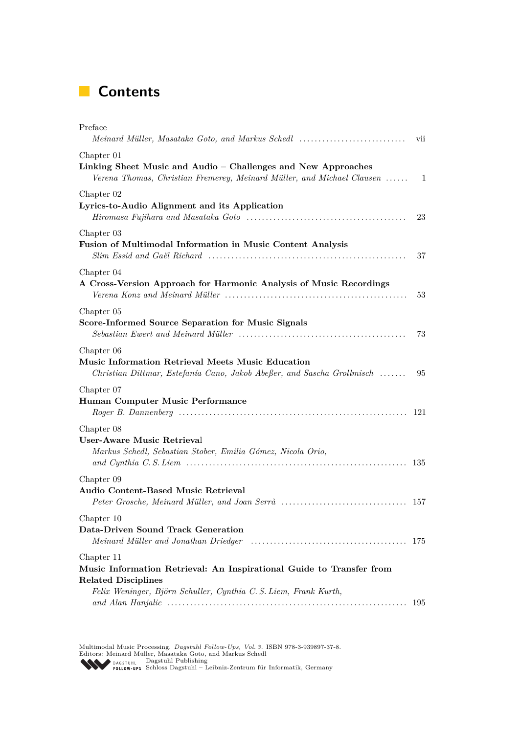# **Contents**

| Preface<br>Meinard Müller, Masataka Goto, and Markus Schedl                                                                                                                          | vii |
|--------------------------------------------------------------------------------------------------------------------------------------------------------------------------------------|-----|
| Chapter 01<br>Linking Sheet Music and Audio – Challenges and New Approaches<br>Verena Thomas, Christian Fremerey, Meinard Müller, and Michael Clausen  1                             |     |
| Chapter 02<br>Lyrics-to-Audio Alignment and its Application                                                                                                                          | 23  |
| Chapter 03<br><b>Fusion of Multimodal Information in Music Content Analysis</b>                                                                                                      | 37  |
| Chapter 04<br>A Cross-Version Approach for Harmonic Analysis of Music Recordings                                                                                                     | 53  |
| Chapter 05<br>Score-Informed Source Separation for Music Signals                                                                                                                     | 73  |
| Chapter 06<br>Music Information Retrieval Meets Music Education<br>Christian Dittmar, Estefanía Cano, Jakob Abeßer, and Sascha Grollmisch                                            | 95  |
| Chapter 07<br>Human Computer Music Performance                                                                                                                                       |     |
| Chapter 08<br>User-Aware Music Retrieval<br>Markus Schedl, Sebastian Stober, Emilia Gómez, Nicola Orio,                                                                              |     |
| Chapter 09<br><b>Audio Content-Based Music Retrieval</b>                                                                                                                             |     |
| Chapter 10<br>Data-Driven Sound Track Generation                                                                                                                                     | 175 |
| Chapter 11<br>Music Information Retrieval: An Inspirational Guide to Transfer from<br><b>Related Disciplines</b><br>Felix Weninger, Björn Schuller, Cynthia C. S. Liem, Frank Kurth, | 195 |

Multimodal Music Processing. Dagstuhl Follow-Ups, Vol. 3. ISBN 978-3-939897-37-8.<br>Editors: Meinard Müller, Masataka Goto, and Markus Schedl<br>PAGSTUHL [Dagstuhl Publishing](http://www.dagstuhl.de/dfu)<br>POLLOW-UPS Schloss Dagstuhl – Leibniz-Zentrum für Inf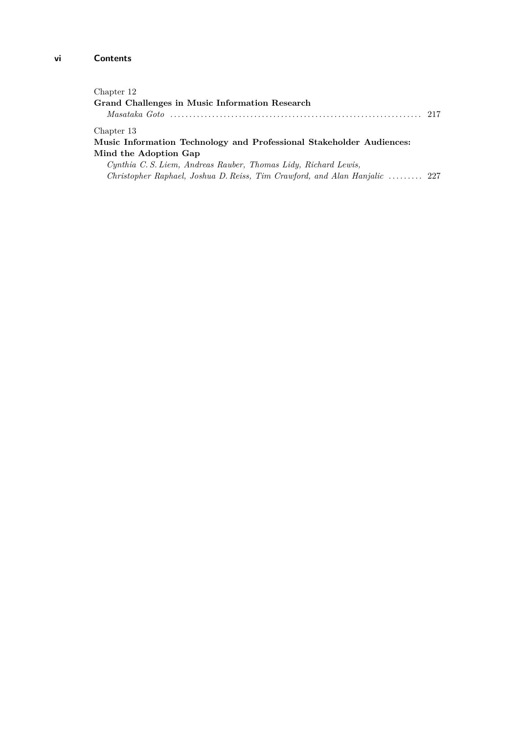| Chapter 12<br>Grand Challenges in Music Information Research                       | 217 |
|------------------------------------------------------------------------------------|-----|
| Chapter 13                                                                         |     |
| Music Information Technology and Professional Stakeholder Audiences:               |     |
| Mind the Adoption Gap                                                              |     |
| Cynthia C. S. Liem, Andreas Rauber, Thomas Lidy, Richard Lewis,                    |     |
| Christopher Raphael, Joshua D. Reiss, Tim Crawford, and Alan Hanjalic $\ldots$ 227 |     |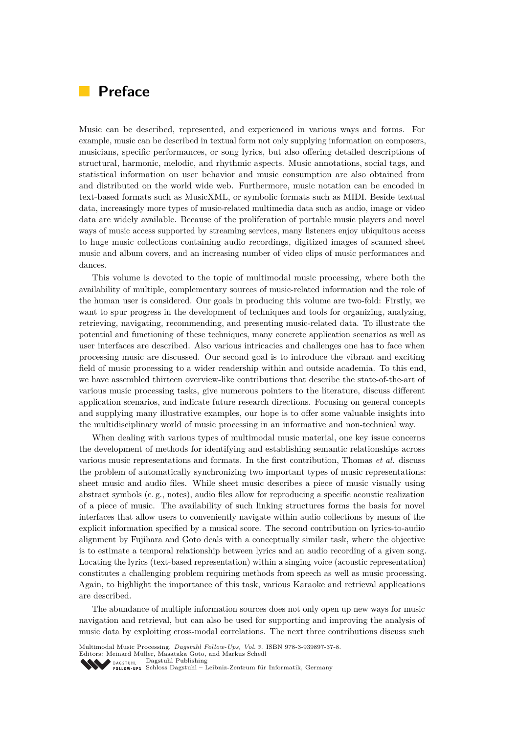# **Preface**

Music can be described, represented, and experienced in various ways and forms. For example, music can be described in textual form not only supplying information on composers, musicians, specific performances, or song lyrics, but also offering detailed descriptions of structural, harmonic, melodic, and rhythmic aspects. Music annotations, social tags, and statistical information on user behavior and music consumption are also obtained from and distributed on the world wide web. Furthermore, music notation can be encoded in text-based formats such as MusicXML, or symbolic formats such as MIDI. Beside textual data, increasingly more types of music-related multimedia data such as audio, image or video data are widely available. Because of the proliferation of portable music players and novel ways of music access supported by streaming services, many listeners enjoy ubiquitous access to huge music collections containing audio recordings, digitized images of scanned sheet music and album covers, and an increasing number of video clips of music performances and dances.

This volume is devoted to the topic of multimodal music processing, where both the availability of multiple, complementary sources of music-related information and the role of the human user is considered. Our goals in producing this volume are two-fold: Firstly, we want to spur progress in the development of techniques and tools for organizing, analyzing, retrieving, navigating, recommending, and presenting music-related data. To illustrate the potential and functioning of these techniques, many concrete application scenarios as well as user interfaces are described. Also various intricacies and challenges one has to face when processing music are discussed. Our second goal is to introduce the vibrant and exciting field of music processing to a wider readership within and outside academia. To this end, we have assembled thirteen overview-like contributions that describe the state-of-the-art of various music processing tasks, give numerous pointers to the literature, discuss different application scenarios, and indicate future research directions. Focusing on general concepts and supplying many illustrative examples, our hope is to offer some valuable insights into the multidisciplinary world of music processing in an informative and non-technical way.

When dealing with various types of multimodal music material, one key issue concerns the development of methods for identifying and establishing semantic relationships across various music representations and formats. In the first contribution, Thomas *et al.* discuss the problem of automatically synchronizing two important types of music representations: sheet music and audio files. While sheet music describes a piece of music visually using abstract symbols (e. g., notes), audio files allow for reproducing a specific acoustic realization of a piece of music. The availability of such linking structures forms the basis for novel interfaces that allow users to conveniently navigate within audio collections by means of the explicit information specified by a musical score. The second contribution on lyrics-to-audio alignment by Fujihara and Goto deals with a conceptually similar task, where the objective is to estimate a temporal relationship between lyrics and an audio recording of a given song. Locating the lyrics (text-based representation) within a singing voice (acoustic representation) constitutes a challenging problem requiring methods from speech as well as music processing. Again, to highlight the importance of this task, various Karaoke and retrieval applications are described.

The abundance of multiple information sources does not only open up new ways for music navigation and retrieval, but can also be used for supporting and improving the analysis of music data by exploiting cross-modal correlations. The next three contributions discuss such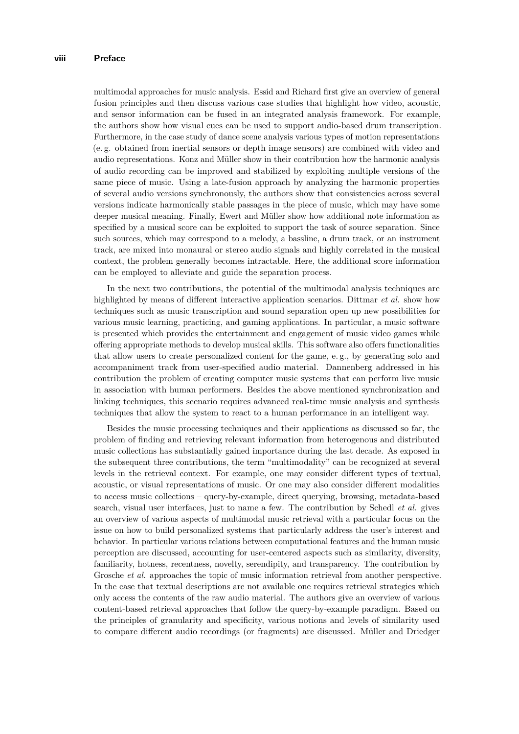multimodal approaches for music analysis. Essid and Richard first give an overview of general fusion principles and then discuss various case studies that highlight how video, acoustic, and sensor information can be fused in an integrated analysis framework. For example, the authors show how visual cues can be used to support audio-based drum transcription. Furthermore, in the case study of dance scene analysis various types of motion representations (e. g. obtained from inertial sensors or depth image sensors) are combined with video and audio representations. Konz and Müller show in their contribution how the harmonic analysis of audio recording can be improved and stabilized by exploiting multiple versions of the same piece of music. Using a late-fusion approach by analyzing the harmonic properties of several audio versions synchronously, the authors show that consistencies across several versions indicate harmonically stable passages in the piece of music, which may have some deeper musical meaning. Finally, Ewert and Müller show how additional note information as specified by a musical score can be exploited to support the task of source separation. Since such sources, which may correspond to a melody, a bassline, a drum track, or an instrument track, are mixed into monaural or stereo audio signals and highly correlated in the musical context, the problem generally becomes intractable. Here, the additional score information can be employed to alleviate and guide the separation process.

In the next two contributions, the potential of the multimodal analysis techniques are highlighted by means of different interactive application scenarios. Dittmar *et al.* show how techniques such as music transcription and sound separation open up new possibilities for various music learning, practicing, and gaming applications. In particular, a music software is presented which provides the entertainment and engagement of music video games while offering appropriate methods to develop musical skills. This software also offers functionalities that allow users to create personalized content for the game, e. g., by generating solo and accompaniment track from user-specified audio material. Dannenberg addressed in his contribution the problem of creating computer music systems that can perform live music in association with human performers. Besides the above mentioned synchronization and linking techniques, this scenario requires advanced real-time music analysis and synthesis techniques that allow the system to react to a human performance in an intelligent way.

Besides the music processing techniques and their applications as discussed so far, the problem of finding and retrieving relevant information from heterogenous and distributed music collections has substantially gained importance during the last decade. As exposed in the subsequent three contributions, the term "multimodality" can be recognized at several levels in the retrieval context. For example, one may consider different types of textual, acoustic, or visual representations of music. Or one may also consider different modalities to access music collections – query-by-example, direct querying, browsing, metadata-based search, visual user interfaces, just to name a few. The contribution by Schedl *et al.* gives an overview of various aspects of multimodal music retrieval with a particular focus on the issue on how to build personalized systems that particularly address the user's interest and behavior. In particular various relations between computational features and the human music perception are discussed, accounting for user-centered aspects such as similarity, diversity, familiarity, hotness, recentness, novelty, serendipity, and transparency. The contribution by Grosche *et al.* approaches the topic of music information retrieval from another perspective. In the case that textual descriptions are not available one requires retrieval strategies which only access the contents of the raw audio material. The authors give an overview of various content-based retrieval approaches that follow the query-by-example paradigm. Based on the principles of granularity and specificity, various notions and levels of similarity used to compare different audio recordings (or fragments) are discussed. Müller and Driedger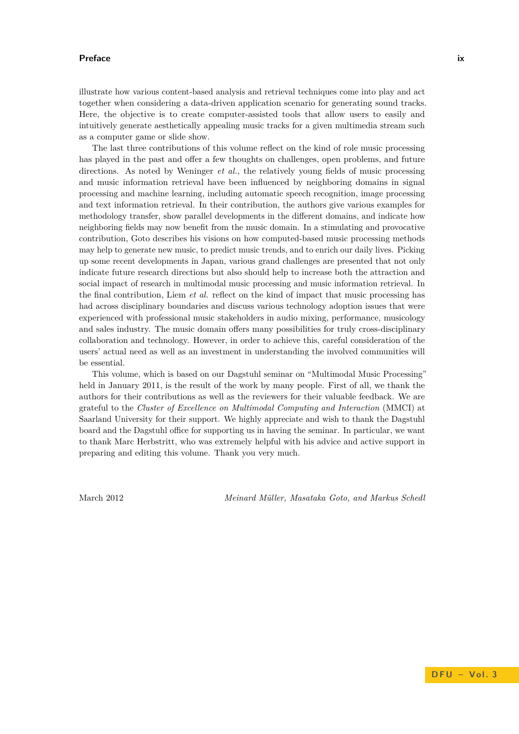#### **Preface ix**

illustrate how various content-based analysis and retrieval techniques come into play and act together when considering a data-driven application scenario for generating sound tracks. Here, the objective is to create computer-assisted tools that allow users to easily and intuitively generate aesthetically appealing music tracks for a given multimedia stream such as a computer game or slide show.

The last three contributions of this volume reflect on the kind of role music processing has played in the past and offer a few thoughts on challenges, open problems, and future directions. As noted by Weninger *et al.*, the relatively young fields of music processing and music information retrieval have been influenced by neighboring domains in signal processing and machine learning, including automatic speech recognition, image processing and text information retrieval. In their contribution, the authors give various examples for methodology transfer, show parallel developments in the different domains, and indicate how neighboring fields may now benefit from the music domain. In a stimulating and provocative contribution, Goto describes his visions on how computed-based music processing methods may help to generate new music, to predict music trends, and to enrich our daily lives. Picking up some recent developments in Japan, various grand challenges are presented that not only indicate future research directions but also should help to increase both the attraction and social impact of research in multimodal music processing and music information retrieval. In the final contribution, Liem *et al.* reflect on the kind of impact that music processing has had across disciplinary boundaries and discuss various technology adoption issues that were experienced with professional music stakeholders in audio mixing, performance, musicology and sales industry. The music domain offers many possibilities for truly cross-disciplinary collaboration and technology. However, in order to achieve this, careful consideration of the users' actual need as well as an investment in understanding the involved communities will be essential.

This volume, which is based on our Dagstuhl seminar on "Multimodal Music Processing" held in January 2011, is the result of the work by many people. First of all, we thank the authors for their contributions as well as the reviewers for their valuable feedback. We are grateful to the *Cluster of Excellence on Multimodal Computing and Interaction* (MMCI) at Saarland University for their support. We highly appreciate and wish to thank the Dagstuhl board and the Dagstuhl office for supporting us in having the seminar. In particular, we want to thank Marc Herbstritt, who was extremely helpful with his advice and active support in preparing and editing this volume. Thank you very much.

March 2012 *Meinard Müller, Masataka Goto, and Markus Schedl*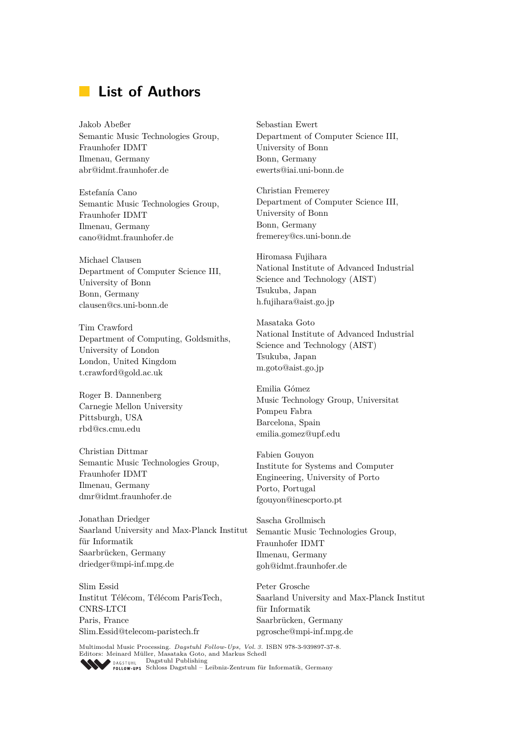# **List of Authors**

Jakob Abeßer Semantic Music Technologies Group, Fraunhofer IDMT Ilmenau, Germany abr@idmt.fraunhofer.de

Estefanía Cano Semantic Music Technologies Group, Fraunhofer IDMT Ilmenau, Germany cano@idmt.fraunhofer.de

Michael Clausen Department of Computer Science III, University of Bonn Bonn, Germany clausen@cs.uni-bonn.de

Tim Crawford Department of Computing, Goldsmiths, University of London London, United Kingdom t.crawford@gold.ac.uk

Roger B. Dannenberg Carnegie Mellon University Pittsburgh, USA rbd@cs.cmu.edu

Christian Dittmar Semantic Music Technologies Group, Fraunhofer IDMT Ilmenau, Germany dmr@idmt.fraunhofer.de

Jonathan Driedger Saarland University and Max-Planck Institut für Informatik Saarbrücken, Germany driedger@mpi-inf.mpg.de

Slim Essid Institut Télécom, Télécom ParisTech, CNRS-LTCI Paris, France Slim.Essid@telecom-paristech.fr

Sebastian Ewert Department of Computer Science III, University of Bonn Bonn, Germany ewerts@iai.uni-bonn.de

Christian Fremerey Department of Computer Science III, University of Bonn Bonn, Germany fremerey@cs.uni-bonn.de

Hiromasa Fujihara National Institute of Advanced Industrial Science and Technology (AIST) Tsukuba, Japan h.fujihara@aist.go.jp

Masataka Goto National Institute of Advanced Industrial Science and Technology (AIST) Tsukuba, Japan m.goto@aist.go.jp

Emilia Gómez Music Technology Group, Universitat Pompeu Fabra Barcelona, Spain emilia.gomez@upf.edu

Fabien Gouyon Institute for Systems and Computer Engineering, University of Porto Porto, Portugal fgouyon@inescporto.pt

Sascha Grollmisch Semantic Music Technologies Group, Fraunhofer IDMT Ilmenau, Germany goh@idmt.fraunhofer.de

Peter Grosche Saarland University and Max-Planck Institut für Informatik Saarbrücken, Germany pgrosche@mpi-inf.mpg.de

Multimodal Music Processing. *[Dagstuhl Fol low-Ups, Vol. 3.](http://www.dagstuhl.de/dagpub/978-3-939897-37-8)* ISBN 978-3-939897-37-8. Editors: Meinard Müller, Masataka Goto, and Markus Schedl [Dagstuhl Publishing](http://www.dagstuhl.de/dfu) [Schloss Dagstuhl – Leibniz-Zentrum für Informatik, Germany](http://www.dagstuhl.de/)